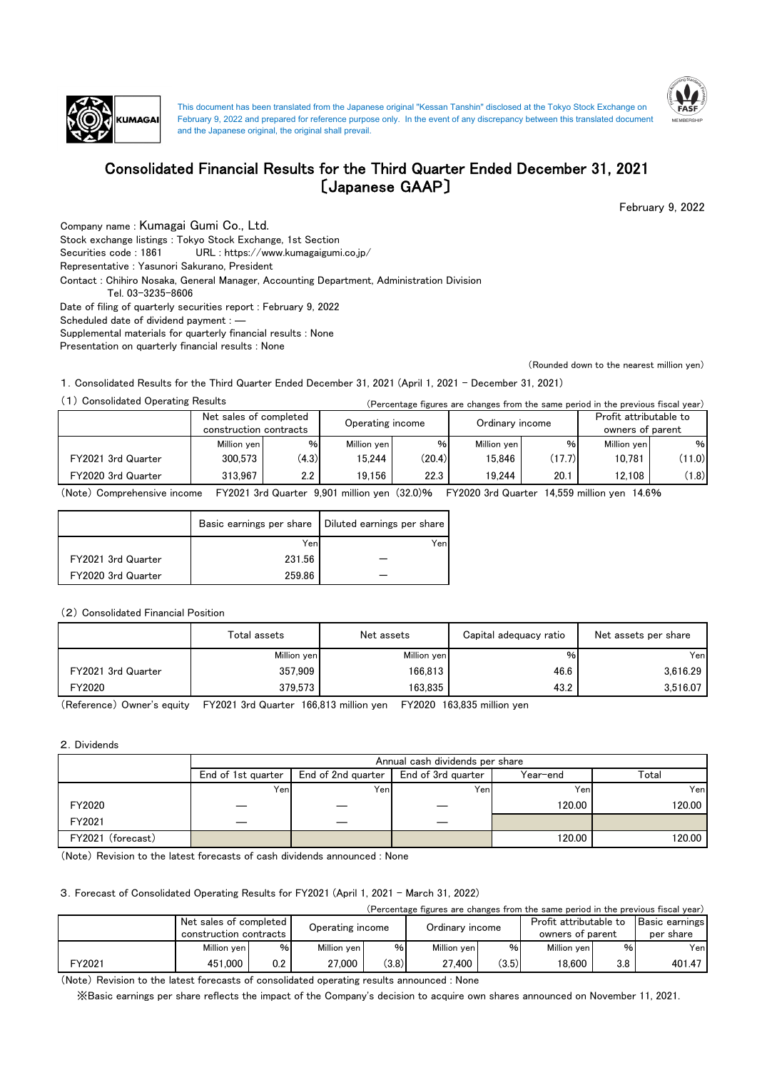



# Consolidated Financial Results for the Third Quarter Ended December 31, 2021 〔Japanese GAAP〕

February 9, 2022

Supplemental materials for quarterly financial results : None Presentation on quarterly financial results : None Company name : Kumagai Gumi Co., Ltd. Stock exchange listings : Tokyo Stock Exchange, 1st Section Contact : Chihiro Nosaka, General Manager, Accounting Department, Administration Division Securities code : 1861 URL : https://www.kumagaigumi.co.jp/ Representative : Yasunori Sakurano, President Date of filing of quarterly securities report : February 9, 2022 Scheduled date of dividend payment : ― Tel. 03-3235-8606

(Rounded down to the nearest million yen)

1.Consolidated Results for the Third Quarter Ended December 31, 2021 (April 1, 2021 - December 31, 2021)

(1) Consolidated Operating Results (Percentage figures are changes from the same period in the previous fiscal year)

|                    | Net sales of completed<br>construction contracts |         | Operating income |        | Ordinary income |        | Profit attributable to<br>owners of parent |        |
|--------------------|--------------------------------------------------|---------|------------------|--------|-----------------|--------|--------------------------------------------|--------|
|                    | Million yen                                      | $\%$    | Million yen      | %      | Million ven     | $\%$   | Million ven                                | %      |
| FY2021 3rd Quarter | 300.573                                          | (4.3)   | 15.244           | (20.4) | 15.846          | (17.7) | 10.781                                     | (11.0) |
| FY2020 3rd Quarter | 313.967                                          | $2.2\,$ | 19.156           | 22.3   | 19.244          | 20.1   | 12.108                                     | (1.8)  |

(Note) Comprehensive income FY2021 3rd Quarter 9,901 million yen (32.0)% FY2020 3rd Quarter 14,559 million yen 14.6%

|                    |        | Basic earnings per share   Diluted earnings per share |
|--------------------|--------|-------------------------------------------------------|
|                    | Yen    | Yen                                                   |
| FY2021 3rd Quarter | 231.56 |                                                       |
| FY2020 3rd Quarter | 259.86 |                                                       |

### (2) Consolidated Financial Position

|                    | Total assets | Net assets  | Capital adequacy ratio | Net assets per share |
|--------------------|--------------|-------------|------------------------|----------------------|
|                    | Million yen  | Million yen | %                      | Yenl                 |
| FY2021 3rd Quarter | 357.909      | 166.813     | 46.6                   | 3.616.29             |
| FY2020             | 379,573      | 163.835     | 43.2                   | 3,516.07             |

(Reference) Owner's equity FY2021 3rd Quarter 166,813 million yen FY2020 163,835 million yen

#### 2.Dividends

|                   | Annual cash dividends per share |                    |                    |          |        |  |  |  |
|-------------------|---------------------------------|--------------------|--------------------|----------|--------|--|--|--|
|                   | End of 1st quarter              | End of 2nd quarter | End of 3rd quarter | Year-end | Total  |  |  |  |
|                   | Yen                             | Yeni               | Yeni               | Yenl     | Yenl   |  |  |  |
| FY2020            |                                 |                    |                    | 120.00   | 120.00 |  |  |  |
| FY2021            |                                 |                    |                    |          |        |  |  |  |
| FY2021 (forecast) |                                 |                    |                    | 120.00   | 120.00 |  |  |  |

(Note) Revision to the latest forecasts of cash dividends announced : None

### 3.Forecast of Consolidated Operating Results for FY2021 (April 1, 2021 - March 31, 2022)

| (Percentage figures are changes from the same period in the previous fiscal year) |                        |     |                  |       |                 |       |                        |      |                       |
|-----------------------------------------------------------------------------------|------------------------|-----|------------------|-------|-----------------|-------|------------------------|------|-----------------------|
|                                                                                   | Net sales of completed |     |                  |       | Ordinary income |       | Profit attributable to |      | <b>Basic earnings</b> |
|                                                                                   | construction contracts |     | Operating income |       |                 |       | owners of parent       |      | per share             |
|                                                                                   | Million ven            | %   | Million ven      | %     | Million ven     | %     | Million ven            | $\%$ | Yenl                  |
| FY2021                                                                            | 451.000                | 0.2 | 27.000           | (3.8) | 27.400          | (3.5) | 18.600                 | 3.8  | 401.47                |
|                                                                                   |                        |     |                  |       |                 |       |                        |      |                       |

(Note) Revision to the latest forecasts of consolidated operating results announced : None

※Basic earnings per share reflects the impact of the Company's decision to acquire own shares announced on November 11, 2021.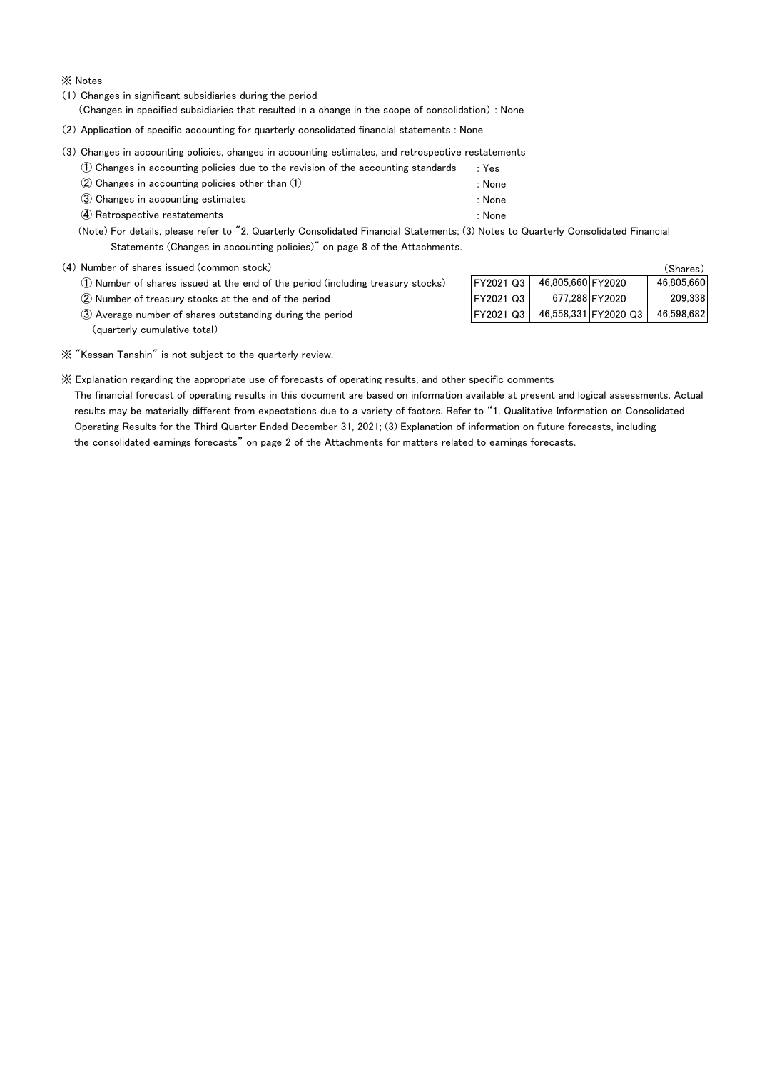※ Notes

- (1) Changes in significant subsidiaries during the period
- (Changes in specified subsidiaries that resulted in a change in the scope of consolidation) : None
- (2) Application of specific accounting for quarterly consolidated financial statements : None
- (3) Changes in accounting policies, changes in accounting estimates, and retrospective restatements
	- $\odot$  Changes in accounting policies due to the revision of the accounting standards  $\ddot{\hspace{1cm}}$  : Yes
	- ② Changes in accounting policies other than ① : None
	- ③ Changes in accounting estimates : None
	- ④ Retrospective restatements : None
- -
	- (Note) For details, please refer to "2. Quarterly Consolidated Financial Statements; (3) Notes to Quarterly Consolidated Financial Statements (Changes in accounting policies)" on page 8 of the Attachments.
- (4) Number of shares issued (common stock)
	- $\overline{10}$  Number of shares issued at the end of the period (including treasury stocks)
	- 2 Number of treasury stocks at the end of the period
	- ③ Average number of shares outstanding during the period FY2021 Q3 FY2020 Q3 (quarterly cumulative total)

|           |                   |                      | (Shares)   |
|-----------|-------------------|----------------------|------------|
| FY2021 Q3 | 46,805,660 FY2020 |                      | 46,805,660 |
| FY2021 Q3 |                   | 677,288 FY2020       | 209,338    |
| FY2021 Q3 |                   | 46,558,331 FY2020 Q3 | 46,598,682 |

- ※ "Kessan Tanshin" is not subject to the quarterly review.
- ※ Explanation regarding the appropriate use of forecasts of operating results, and other specific comments

 The financial forecast of operating results in this document are based on information available at present and logical assessments. Actual results may be materially different from expectations due to a variety of factors. Refer to "1. Qualitative Information on Consolidated Operating Results for the Third Quarter Ended December 31, 2021; (3) Explanation of information on future forecasts, including the consolidated earnings forecasts" on page 2 of the Attachments for matters related to earnings forecasts.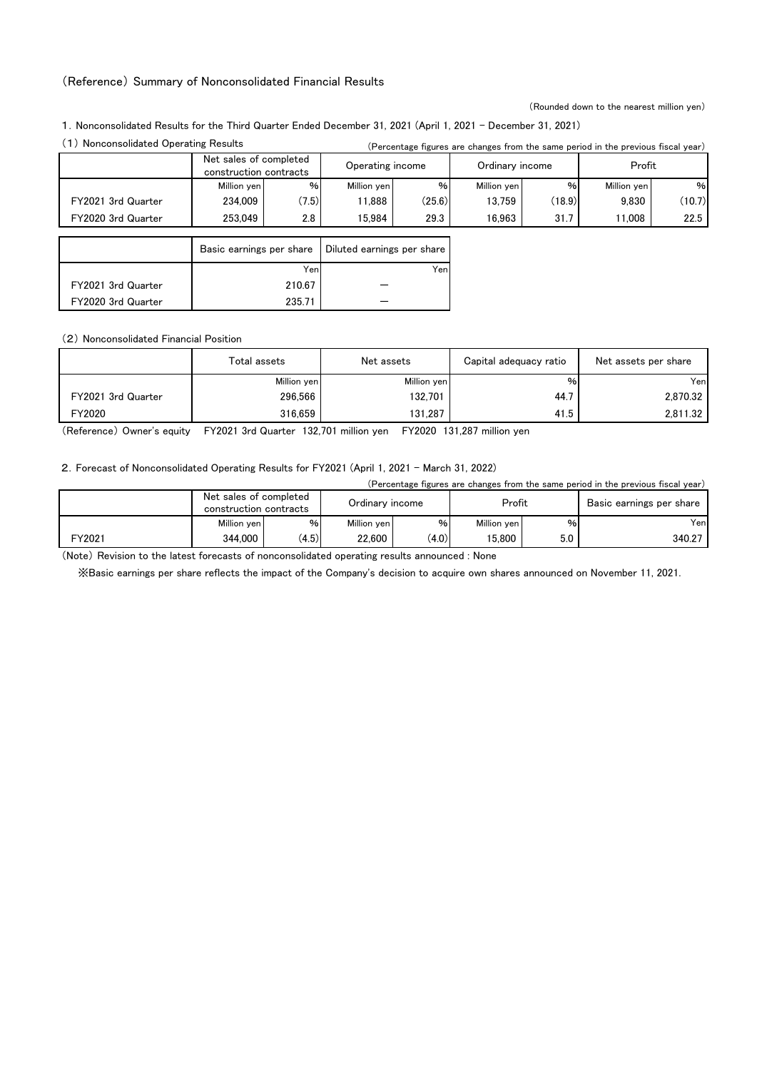### (Reference) Summary of Nonconsolidated Financial Results

(Rounded down to the nearest million yen)

1.Nonconsolidated Results for the Third Quarter Ended December 31, 2021 (April 1, 2021 - December 31, 2021)

|                    |                                                  |        |                            |        |                 |        | (Fercentage ligares are changes from the same period in the previous fiscal year) |        |
|--------------------|--------------------------------------------------|--------|----------------------------|--------|-----------------|--------|-----------------------------------------------------------------------------------|--------|
|                    | Net sales of completed<br>construction contracts |        | Operating income           |        | Ordinary income |        | Profit                                                                            |        |
|                    | Million yen                                      | $\%$   | Million yen                | %      | Million yen     | %      | Million yen                                                                       | %      |
| FY2021 3rd Quarter | 234.009                                          | (7.5)  | 11.888                     | (25.6) | 13.759          | (18.9) | 9.830                                                                             | (10.7) |
| FY2020 3rd Quarter | 253.049                                          | 2.8    | 15.984                     | 29.3   | 16.963          | 31.7   | 11.008                                                                            | 22.5   |
|                    |                                                  |        |                            |        |                 |        |                                                                                   |        |
|                    | Basic earnings per share                         |        | Diluted earnings per share |        |                 |        |                                                                                   |        |
|                    |                                                  | Yen    |                            | Yenl   |                 |        |                                                                                   |        |
| FY2021 3rd Quarter |                                                  | 210.67 |                            |        |                 |        |                                                                                   |        |
| FY2020 3rd Quarter | 235.71                                           |        |                            |        |                 |        |                                                                                   |        |

(2) Nonconsolidated Financial Position

|                    | Total assets | Net assets  | Capital adequacy ratio | Net assets per share |  |
|--------------------|--------------|-------------|------------------------|----------------------|--|
|                    | Million yen  | Million yen | $\%$                   | Yenl                 |  |
| FY2021 3rd Quarter | 296,566      | 132.701     | 44.7                   | 2,870.32             |  |
| FY2020             | 316.659      | 131.287     | 41.5                   | 2.811.32             |  |

(Reference) Owner's equity FY2021 3rd Quarter 132,701 million yen FY2020 131,287 million yen

2. Forecast of Nonconsolidated Operating Results for FY2021 (April 1, 2021 - March 31, 2022)

|        |                                                  |       |                 |       |             |     | (Percentage figures are changes from the same period in the previous fiscal year) |
|--------|--------------------------------------------------|-------|-----------------|-------|-------------|-----|-----------------------------------------------------------------------------------|
|        | Net sales of completed<br>construction contracts |       | Ordinary income |       | Profit      |     | Basic earnings per share                                                          |
|        | Million yen                                      | $\%$  | Million ven     | %     | Million ven | %   | Yenl                                                                              |
| FY2021 | 344.000                                          | (4.5) | 22.600          | (4.0) | 15.800      | 5.0 | 340.27                                                                            |

(Note) Revision to the latest forecasts of nonconsolidated operating results announced : None

※Basic earnings per share reflects the impact of the Company's decision to acquire own shares announced on November 11, 2021.

<sup>(1)</sup> Nonconsolidated Operating Results (Percentage figures are changes from the same period in the previous fiscal year)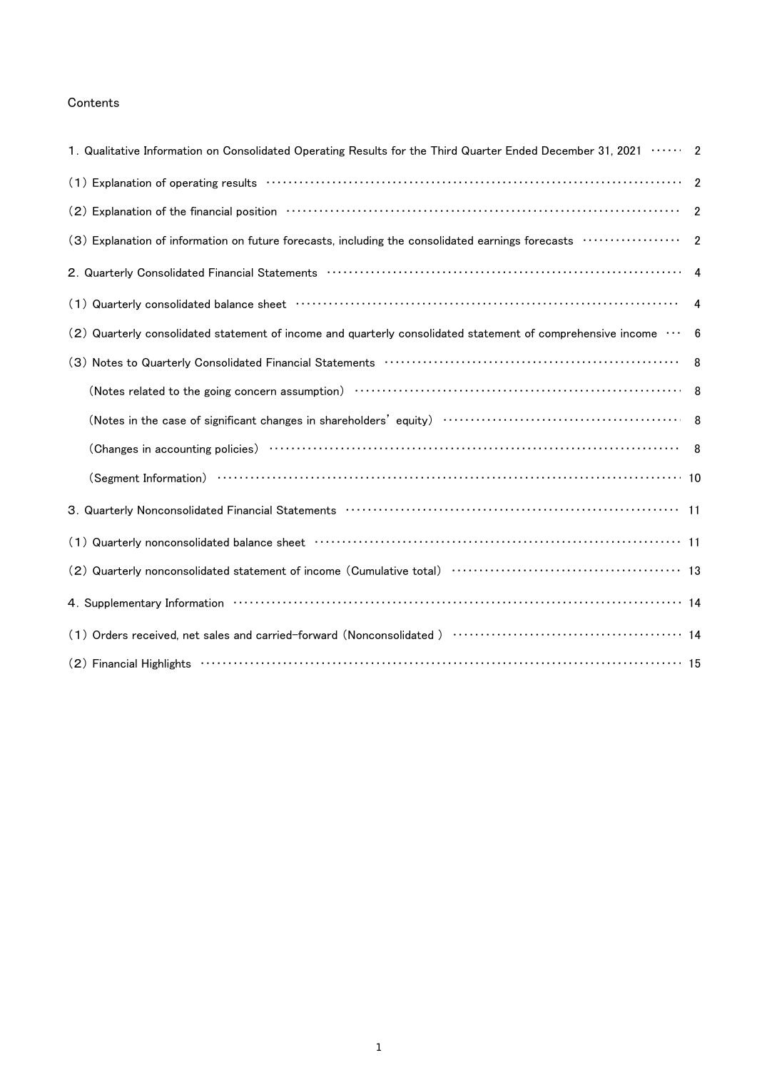### Contents

| 1. Qualitative Information on Consolidated Operating Results for the Third Quarter Ended December 31, 2021  2                                                                                                                             |                |
|-------------------------------------------------------------------------------------------------------------------------------------------------------------------------------------------------------------------------------------------|----------------|
|                                                                                                                                                                                                                                           |                |
|                                                                                                                                                                                                                                           | $\overline{2}$ |
| (3) Explanation of information on future forecasts, including the consolidated earnings forecasts ·················· 2                                                                                                                    |                |
|                                                                                                                                                                                                                                           |                |
|                                                                                                                                                                                                                                           | $\overline{4}$ |
| (2) Quarterly consolidated statement of income and quarterly consolidated statement of comprehensive income  6                                                                                                                            |                |
| (3) Notes to Quarterly Consolidated Financial Statements (and the content of the content of the state of the s                                                                                                                            |                |
|                                                                                                                                                                                                                                           |                |
| (Notes in the case of significant changes in shareholders' equity) …………………………………………………… 8                                                                                                                                                 |                |
|                                                                                                                                                                                                                                           |                |
|                                                                                                                                                                                                                                           |                |
| 3. Quarterly Nonconsolidated Financial Statements (1000) (1000) (1000) (1000) (1100) (1100) (1100) (1100) (11                                                                                                                             |                |
|                                                                                                                                                                                                                                           |                |
|                                                                                                                                                                                                                                           |                |
| 4. Supplementary Information (1999) 14 (2009) 14 (2009) 14 (2009) 14 (2009) 14 (2009) 14 (2009) 14 (2009) 14 (2009) 15 (2009) 15 (2009) 15 (2009) 15 (2009) 16 (2009) 16 (2009) 16 (2009) 16 (2009) 16 (2009) 16 (2009) 16 (20            |                |
|                                                                                                                                                                                                                                           |                |
| $(2)$ Financial Highlights $\cdots$ $\cdots$ $\cdots$ $\cdots$ $\cdots$ $\cdots$ $\cdots$ $\cdots$ $\cdots$ $\cdots$ $\cdots$ $\cdots$ $\cdots$ $\cdots$ $\cdots$ $\cdots$ $\cdots$ $\cdots$ $\cdots$ $\cdots$ $\cdots$ $\cdots$ $\cdots$ |                |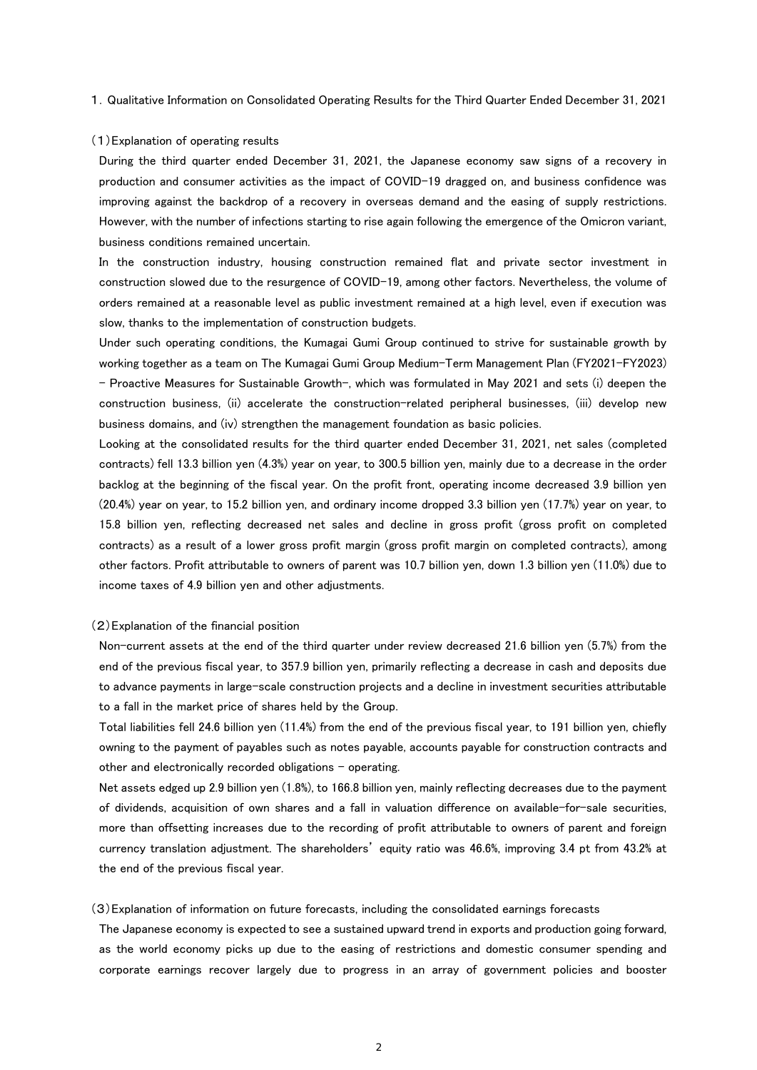1.Qualitative Information on Consolidated Operating Results for the Third Quarter Ended December 31, 2021

#### (1)Explanation of operating results

During the third quarter ended December 31, 2021, the Japanese economy saw signs of a recovery in production and consumer activities as the impact of COVID-19 dragged on, and business confidence was improving against the backdrop of a recovery in overseas demand and the easing of supply restrictions. However, with the number of infections starting to rise again following the emergence of the Omicron variant, business conditions remained uncertain.

In the construction industry, housing construction remained flat and private sector investment in construction slowed due to the resurgence of COVID-19, among other factors. Nevertheless, the volume of orders remained at a reasonable level as public investment remained at a high level, even if execution was slow, thanks to the implementation of construction budgets.

Under such operating conditions, the Kumagai Gumi Group continued to strive for sustainable growth by working together as a team on The Kumagai Gumi Group Medium-Term Management Plan (FY2021-FY2023) - Proactive Measures for Sustainable Growth-, which was formulated in May 2021 and sets (i) deepen the construction business, (ii) accelerate the construction-related peripheral businesses, (iii) develop new business domains, and (iv) strengthen the management foundation as basic policies.

Looking at the consolidated results for the third quarter ended December 31, 2021, net sales (completed contracts) fell 13.3 billion yen (4.3%) year on year, to 300.5 billion yen, mainly due to a decrease in the order backlog at the beginning of the fiscal year. On the profit front, operating income decreased 3.9 billion yen (20.4%) year on year, to 15.2 billion yen, and ordinary income dropped 3.3 billion yen (17.7%) year on year, to 15.8 billion yen, reflecting decreased net sales and decline in gross profit (gross profit on completed contracts) as a result of a lower gross profit margin (gross profit margin on completed contracts), among other factors. Profit attributable to owners of parent was 10.7 billion yen, down 1.3 billion yen (11.0%) due to income taxes of 4.9 billion yen and other adjustments.

#### (2)Explanation of the financial position

Non-current assets at the end of the third quarter under review decreased 21.6 billion yen (5.7%) from the end of the previous fiscal year, to 357.9 billion yen, primarily reflecting a decrease in cash and deposits due to advance payments in large-scale construction projects and a decline in investment securities attributable to a fall in the market price of shares held by the Group.

Total liabilities fell 24.6 billion yen (11.4%) from the end of the previous fiscal year, to 191 billion yen, chiefly owning to the payment of payables such as notes payable, accounts payable for construction contracts and other and electronically recorded obligations  $-$  operating.

Net assets edged up 2.9 billion yen (1.8%), to 166.8 billion yen, mainly reflecting decreases due to the payment of dividends, acquisition of own shares and a fall in valuation difference on available-for-sale securities, more than offsetting increases due to the recording of profit attributable to owners of parent and foreign currency translation adjustment. The shareholders' equity ratio was 46.6%, improving 3.4 pt from 43.2% at the end of the previous fiscal year.

### (3)Explanation of information on future forecasts, including the consolidated earnings forecasts

The Japanese economy is expected to see a sustained upward trend in exports and production going forward, as the world economy picks up due to the easing of restrictions and domestic consumer spending and corporate earnings recover largely due to progress in an array of government policies and booster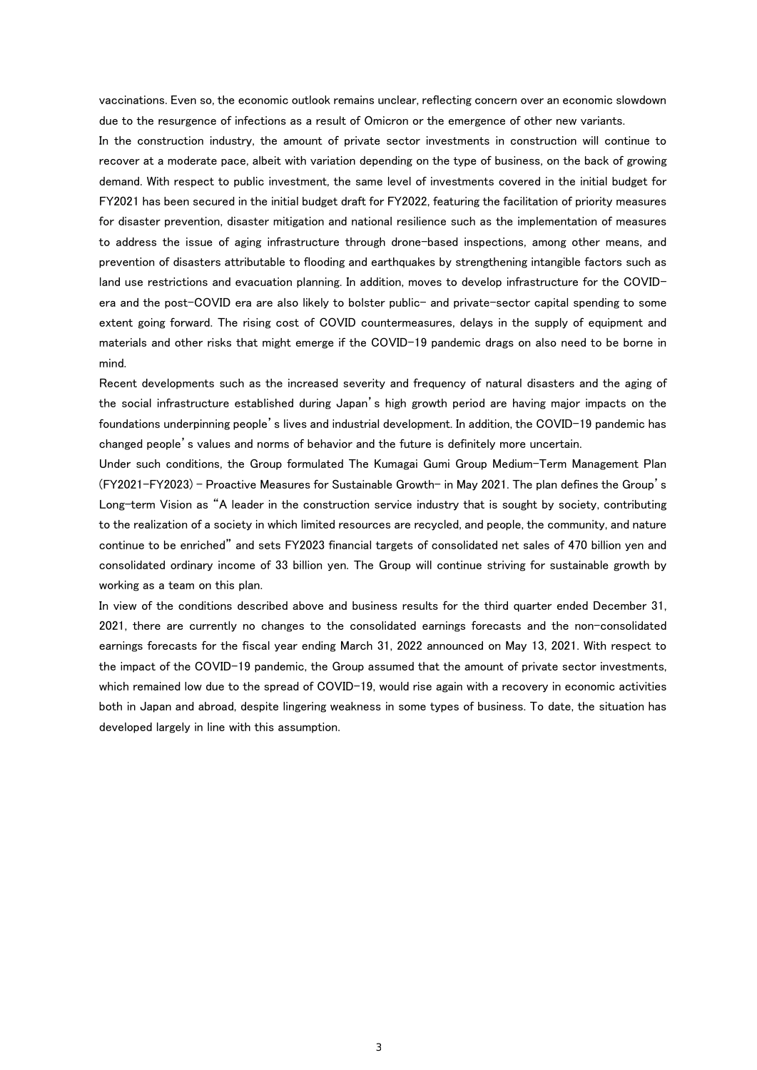vaccinations. Even so, the economic outlook remains unclear, reflecting concern over an economic slowdown due to the resurgence of infections as a result of Omicron or the emergence of other new variants.

In the construction industry, the amount of private sector investments in construction will continue to recover at a moderate pace, albeit with variation depending on the type of business, on the back of growing demand. With respect to public investment, the same level of investments covered in the initial budget for FY2021 has been secured in the initial budget draft for FY2022, featuring the facilitation of priority measures for disaster prevention, disaster mitigation and national resilience such as the implementation of measures to address the issue of aging infrastructure through drone-based inspections, among other means, and prevention of disasters attributable to flooding and earthquakes by strengthening intangible factors such as land use restrictions and evacuation planning. In addition, moves to develop infrastructure for the COVIDera and the post-COVID era are also likely to bolster public- and private-sector capital spending to some extent going forward. The rising cost of COVID countermeasures, delays in the supply of equipment and materials and other risks that might emerge if the COVID-19 pandemic drags on also need to be borne in mind.

Recent developments such as the increased severity and frequency of natural disasters and the aging of the social infrastructure established during Japan's high growth period are having major impacts on the foundations underpinning people's lives and industrial development. In addition, the COVID-19 pandemic has changed people's values and norms of behavior and the future is definitely more uncertain.

Under such conditions, the Group formulated The Kumagai Gumi Group Medium-Term Management Plan (FY2021-FY2023) - Proactive Measures for Sustainable Growth- in May 2021. The plan defines the Group's Long-term Vision as "A leader in the construction service industry that is sought by society, contributing to the realization of a society in which limited resources are recycled, and people, the community, and nature continue to be enriched" and sets FY2023 financial targets of consolidated net sales of 470 billion yen and consolidated ordinary income of 33 billion yen. The Group will continue striving for sustainable growth by working as a team on this plan.

In view of the conditions described above and business results for the third quarter ended December 31, 2021, there are currently no changes to the consolidated earnings forecasts and the non-consolidated earnings forecasts for the fiscal year ending March 31, 2022 announced on May 13, 2021. With respect to the impact of the COVID-19 pandemic, the Group assumed that the amount of private sector investments, which remained low due to the spread of COVID-19, would rise again with a recovery in economic activities both in Japan and abroad, despite lingering weakness in some types of business. To date, the situation has developed largely in line with this assumption.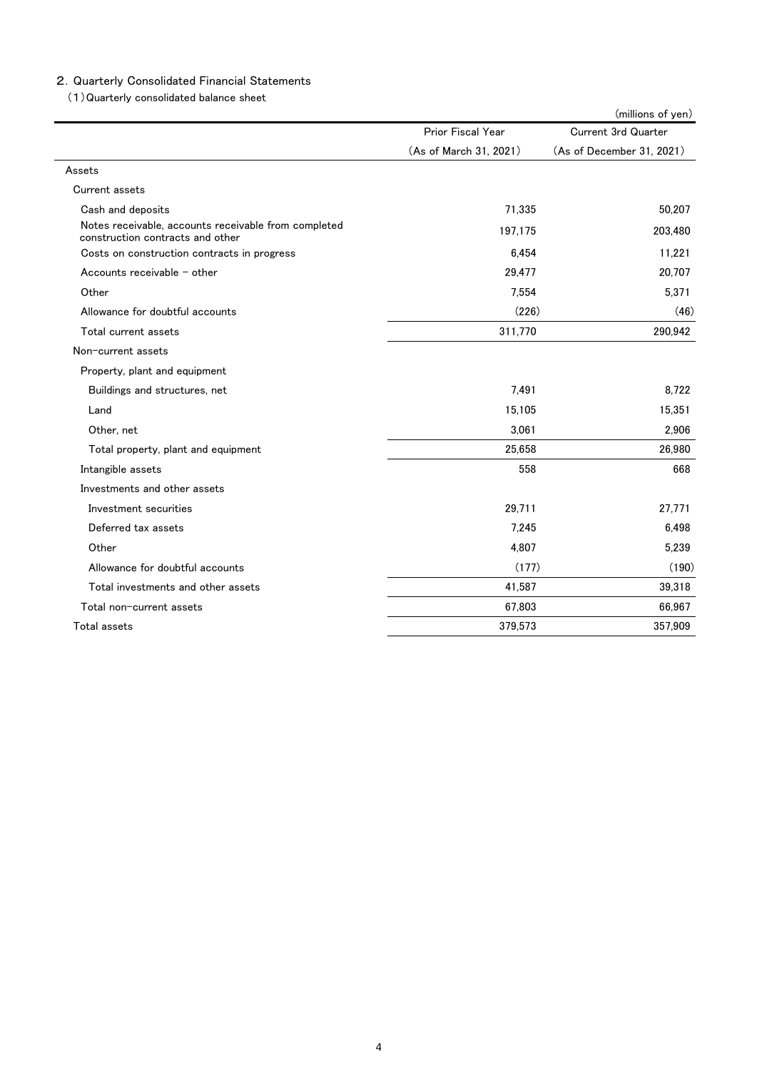### 2. Quarterly Consolidated Financial Statements

(1)Quarterly consolidated balance sheet

|                                                                                          |                          | (millions of yen)          |
|------------------------------------------------------------------------------------------|--------------------------|----------------------------|
|                                                                                          | <b>Prior Fiscal Year</b> | <b>Current 3rd Quarter</b> |
|                                                                                          | (As of March 31, 2021)   | (As of December 31, 2021)  |
| Assets                                                                                   |                          |                            |
| Current assets                                                                           |                          |                            |
| Cash and deposits                                                                        | 71,335                   | 50.207                     |
| Notes receivable, accounts receivable from completed<br>construction contracts and other | 197,175                  | 203,480                    |
| Costs on construction contracts in progress                                              | 6.454                    | 11,221                     |
| Accounts receivable $-$ other                                                            | 29.477                   | 20.707                     |
| Other                                                                                    | 7,554                    | 5,371                      |
| Allowance for doubtful accounts                                                          | (226)                    | (46)                       |
| Total current assets                                                                     | 311,770                  | 290,942                    |
| Non-current assets                                                                       |                          |                            |
| Property, plant and equipment                                                            |                          |                            |
| Buildings and structures, net                                                            | 7,491                    | 8,722                      |
| Land                                                                                     | 15,105                   | 15,351                     |
| Other, net                                                                               | 3.061                    | 2.906                      |
| Total property, plant and equipment                                                      | 25,658                   | 26,980                     |
| Intangible assets                                                                        | 558                      | 668                        |
| Investments and other assets                                                             |                          |                            |
| Investment securities                                                                    | 29,711                   | 27,771                     |
| Deferred tax assets                                                                      | 7,245                    | 6,498                      |
| Other                                                                                    | 4.807                    | 5.239                      |
| Allowance for doubtful accounts                                                          | (177)                    | (190)                      |
| Total investments and other assets                                                       | 41,587                   | 39,318                     |
| Total non-current assets                                                                 | 67,803                   | 66,967                     |
| Total assets                                                                             | 379,573                  | 357,909                    |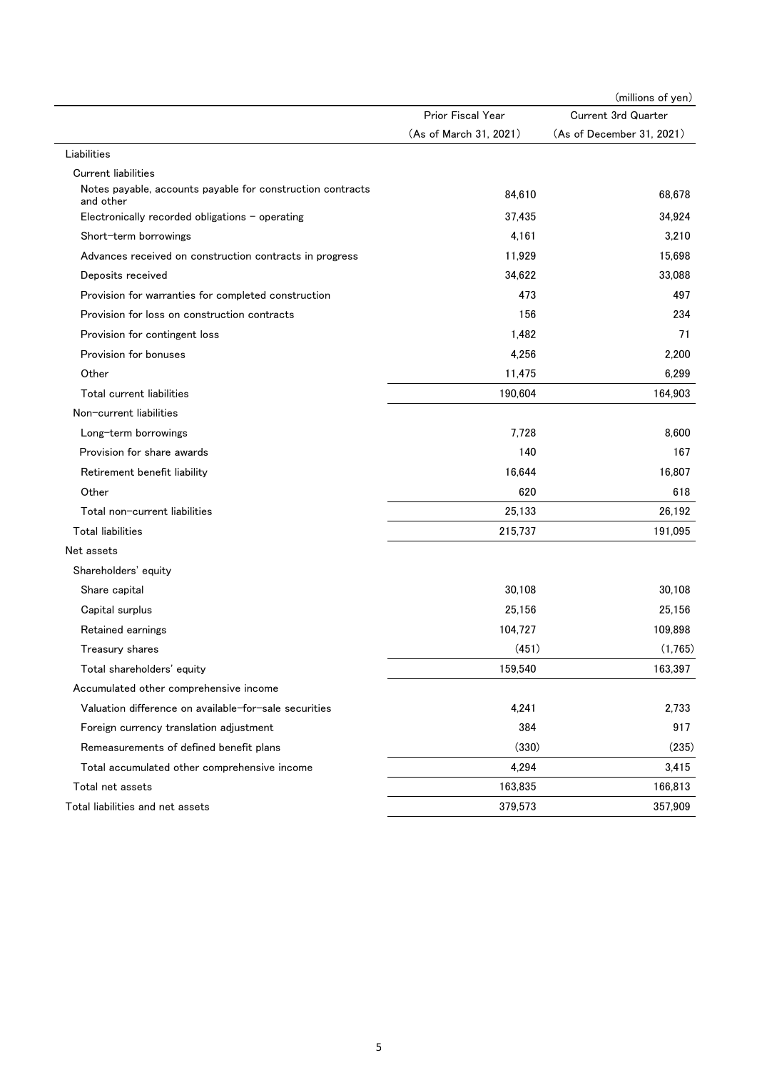|                                                                         |                        | (millions of yen)         |
|-------------------------------------------------------------------------|------------------------|---------------------------|
|                                                                         | Prior Fiscal Year      | Current 3rd Quarter       |
|                                                                         | (As of March 31, 2021) | (As of December 31, 2021) |
| Liabilities                                                             |                        |                           |
| <b>Current liabilities</b>                                              |                        |                           |
| Notes payable, accounts payable for construction contracts<br>and other | 84,610                 | 68,678                    |
| Electronically recorded obligations - operating                         | 37,435                 | 34,924                    |
| Short-term borrowings                                                   | 4,161                  | 3,210                     |
| Advances received on construction contracts in progress                 | 11,929                 | 15,698                    |
| Deposits received                                                       | 34,622                 | 33,088                    |
| Provision for warranties for completed construction                     | 473                    | 497                       |
| Provision for loss on construction contracts                            | 156                    | 234                       |
| Provision for contingent loss                                           | 1,482                  | 71                        |
| Provision for bonuses                                                   | 4,256                  | 2,200                     |
| Other                                                                   | 11,475                 | 6,299                     |
| Total current liabilities                                               | 190,604                | 164,903                   |
| Non-current liabilities                                                 |                        |                           |
| Long-term borrowings                                                    | 7,728                  | 8,600                     |
| Provision for share awards                                              | 140                    | 167                       |
| Retirement benefit liability                                            | 16,644                 | 16,807                    |
| Other                                                                   | 620                    | 618                       |
| Total non-current liabilities                                           | 25,133                 | 26,192                    |
| <b>Total liabilities</b>                                                | 215,737                | 191,095                   |
| Net assets                                                              |                        |                           |
| Shareholders' equity                                                    |                        |                           |
| Share capital                                                           | 30,108                 | 30,108                    |
| Capital surplus                                                         | 25,156                 | 25,156                    |
| Retained earnings                                                       | 104,727                | 109,898                   |
| Treasury shares                                                         | (451)                  | (1,765)                   |
| Total shareholders' equity                                              | 159,540                | 163,397                   |
| Accumulated other comprehensive income                                  |                        |                           |
| Valuation difference on available-for-sale securities                   | 4,241                  | 2,733                     |
| Foreign currency translation adjustment                                 | 384                    | 917                       |
| Remeasurements of defined benefit plans                                 | (330)                  | (235)                     |
| Total accumulated other comprehensive income                            | 4,294                  | 3,415                     |
| Total net assets                                                        | 163,835                | 166,813                   |
| Total liabilities and net assets                                        | 379,573                | 357,909                   |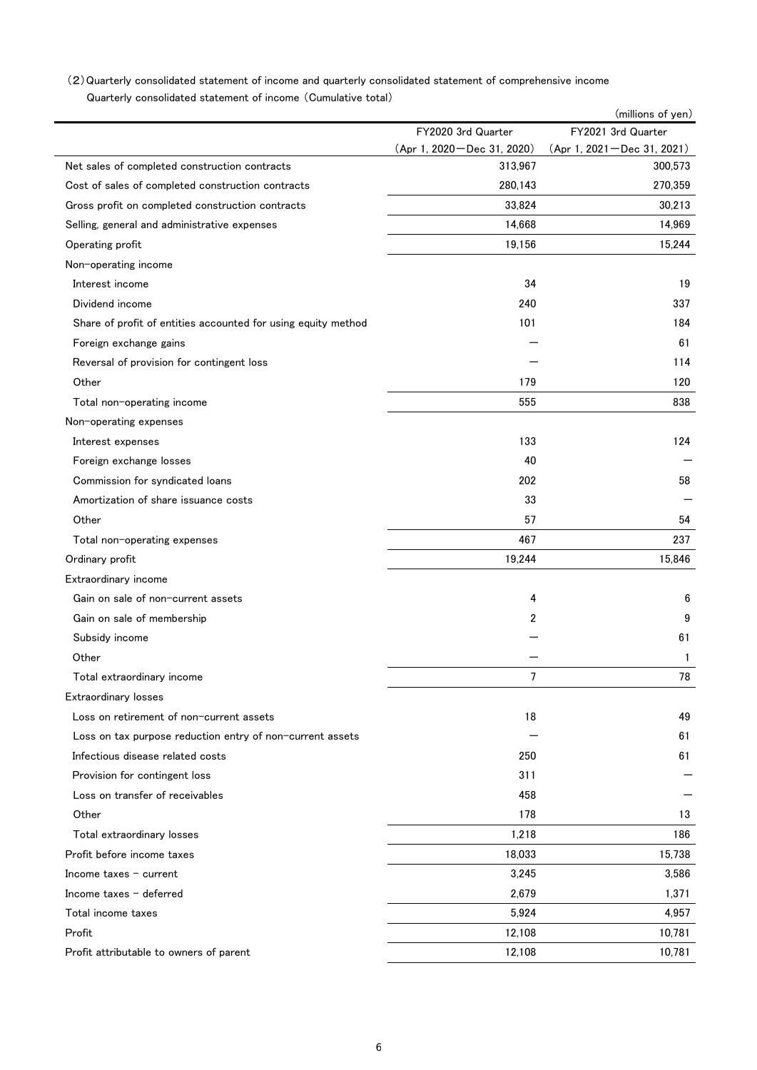## Quarterly consolidated statement of income (Cumulative total) (2)Quarterly consolidated statement of income and quarterly consolidated statement of comprehensive income

|                                                               |                              | (millions of yen)            |
|---------------------------------------------------------------|------------------------------|------------------------------|
|                                                               | FY2020 3rd Quarter           | FY2021 3rd Quarter           |
|                                                               | (Apr 1, 2020 - Dec 31, 2020) | (Apr 1, 2021 - Dec 31, 2021) |
| Net sales of completed construction contracts                 | 313,967                      | 300,573                      |
| Cost of sales of completed construction contracts             | 280,143                      | 270,359                      |
| Gross profit on completed construction contracts              | 33,824                       | 30,213                       |
| Selling, general and administrative expenses                  | 14,668                       | 14,969                       |
| Operating profit                                              | 19,156                       | 15,244                       |
| Non-operating income                                          |                              |                              |
| Interest income                                               | 34                           | 19                           |
| Dividend income                                               | 240                          | 337                          |
| Share of profit of entities accounted for using equity method | 101                          | 184                          |
| Foreign exchange gains                                        |                              | 61                           |
| Reversal of provision for contingent loss                     |                              | 114                          |
| Other                                                         | 179                          | 120                          |
| Total non-operating income                                    | 555                          | 838                          |
| Non-operating expenses                                        |                              |                              |
| Interest expenses                                             | 133                          | 124                          |
| Foreign exchange losses                                       | 40                           |                              |
| Commission for syndicated loans                               | 202                          | 58                           |
| Amortization of share issuance costs                          | 33                           |                              |
| Other                                                         | 57                           | 54                           |
| Total non-operating expenses                                  | 467                          | 237                          |
| Ordinary profit                                               | 19,244                       | 15,846                       |
| Extraordinary income                                          |                              |                              |
| Gain on sale of non-current assets                            | 4                            | 6                            |
| Gain on sale of membership                                    | 2                            | 9                            |
| Subsidy income                                                |                              | 61                           |
| Other                                                         |                              | 1                            |
| Total extraordinary income                                    | 7                            | 78                           |
| Extraordinary losses                                          |                              |                              |
| Loss on retirement of non-current assets                      | 18                           | 49                           |
| Loss on tax purpose reduction entry of non-current assets     |                              | 61                           |
| Infectious disease related costs                              | 250                          | 61                           |
| Provision for contingent loss                                 | 311                          |                              |
| Loss on transfer of receivables                               | 458                          |                              |
| Other                                                         | 178                          | 13                           |
| Total extraordinary losses                                    | 1,218                        | 186                          |
| Profit before income taxes                                    | 18,033                       | 15,738                       |
| Income taxes $-$ current                                      | 3,245                        | 3,586                        |
| Income taxes - deferred                                       | 2,679                        | 1,371                        |
| Total income taxes                                            | 5,924                        | 4,957                        |
| Profit                                                        | 12,108                       | 10,781                       |
| Profit attributable to owners of parent                       | 12,108                       | 10,781                       |
|                                                               |                              |                              |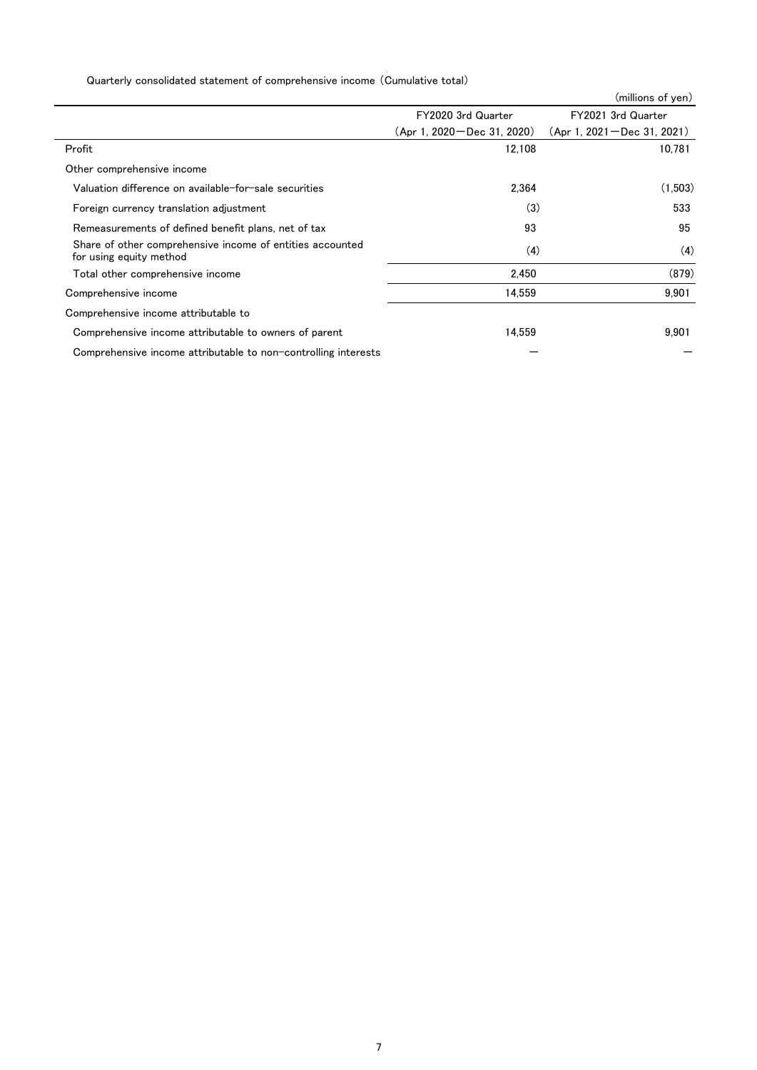# Quarterly consolidated statement of comprehensive income (Cumulative total)

|                                                                                      |                                | (millions of yen)              |
|--------------------------------------------------------------------------------------|--------------------------------|--------------------------------|
|                                                                                      | FY2020 3rd Quarter             | FY2021 3rd Quarter             |
|                                                                                      | $(Apr 1. 2020 - Dec 31. 2020)$ | $(Apr 1. 2021 - Dec 31. 2021)$ |
| Profit                                                                               | 12,108                         | 10,781                         |
| Other comprehensive income                                                           |                                |                                |
| Valuation difference on available-for-sale securities                                | 2.364                          | (1,503)                        |
| Foreign currency translation adjustment                                              | (3)                            | 533                            |
| Remeasurements of defined benefit plans, net of tax                                  | 93                             | 95                             |
| Share of other comprehensive income of entities accounted<br>for using equity method | (4)                            | (4)                            |
| Total other comprehensive income                                                     | 2.450                          | (879)                          |
| Comprehensive income                                                                 | 14,559                         | 9,901                          |
| Comprehensive income attributable to                                                 |                                |                                |
| Comprehensive income attributable to owners of parent                                | 14.559                         | 9,901                          |
| Comprehensive income attributable to non-controlling interests                       |                                |                                |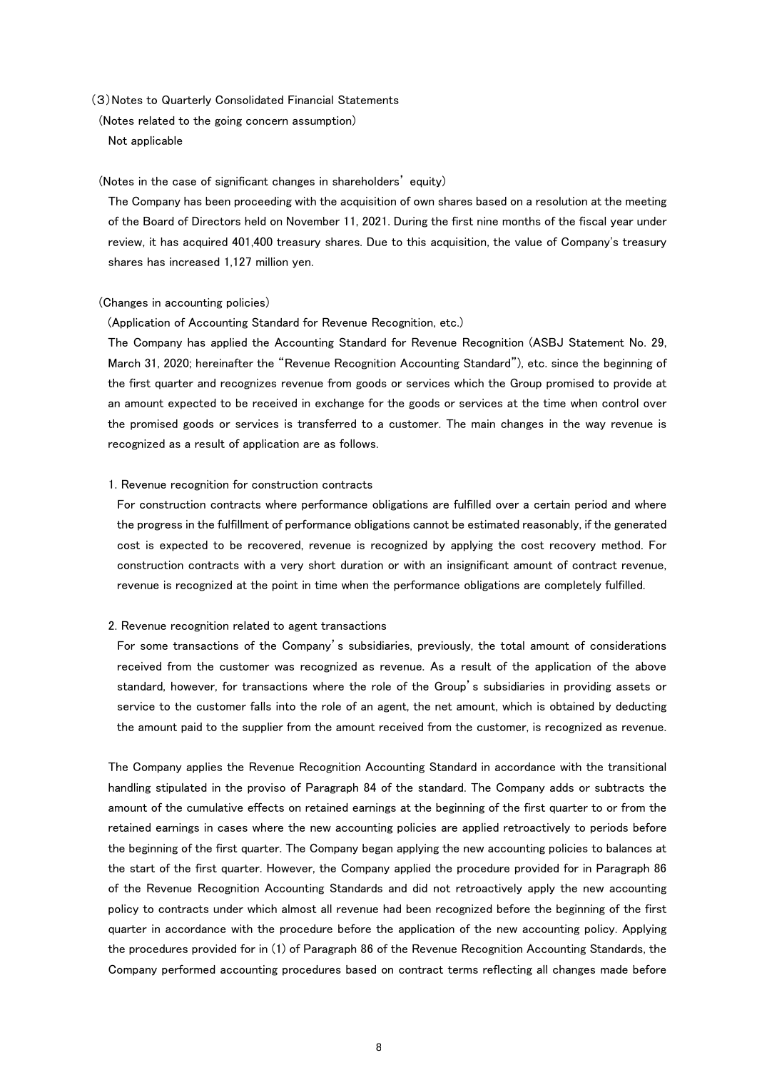#### (3)Notes to Quarterly Consolidated Financial Statements

(Notes related to the going concern assumption) Not applicable

#### (Notes in the case of significant changes in shareholders' equity)

The Company has been proceeding with the acquisition of own shares based on a resolution at the meeting of the Board of Directors held on November 11, 2021. During the first nine months of the fiscal year under review, it has acquired 401,400 treasury shares. Due to this acquisition, the value of Company's treasury shares has increased 1,127 million yen.

#### (Changes in accounting policies)

#### (Application of Accounting Standard for Revenue Recognition, etc.)

The Company has applied the Accounting Standard for Revenue Recognition (ASBJ Statement No. 29, March 31, 2020; hereinafter the "Revenue Recognition Accounting Standard"), etc. since the beginning of the first quarter and recognizes revenue from goods or services which the Group promised to provide at an amount expected to be received in exchange for the goods or services at the time when control over the promised goods or services is transferred to a customer. The main changes in the way revenue is recognized as a result of application are as follows.

#### 1. Revenue recognition for construction contracts

For construction contracts where performance obligations are fulfilled over a certain period and where the progress in the fulfillment of performance obligations cannot be estimated reasonably, if the generated cost is expected to be recovered, revenue is recognized by applying the cost recovery method. For construction contracts with a very short duration or with an insignificant amount of contract revenue, revenue is recognized at the point in time when the performance obligations are completely fulfilled.

#### 2. Revenue recognition related to agent transactions

For some transactions of the Company's subsidiaries, previously, the total amount of considerations received from the customer was recognized as revenue. As a result of the application of the above standard, however, for transactions where the role of the Group's subsidiaries in providing assets or service to the customer falls into the role of an agent, the net amount, which is obtained by deducting the amount paid to the supplier from the amount received from the customer, is recognized as revenue.

The Company applies the Revenue Recognition Accounting Standard in accordance with the transitional handling stipulated in the proviso of Paragraph 84 of the standard. The Company adds or subtracts the amount of the cumulative effects on retained earnings at the beginning of the first quarter to or from the retained earnings in cases where the new accounting policies are applied retroactively to periods before the beginning of the first quarter. The Company began applying the new accounting policies to balances at the start of the first quarter. However, the Company applied the procedure provided for in Paragraph 86 of the Revenue Recognition Accounting Standards and did not retroactively apply the new accounting policy to contracts under which almost all revenue had been recognized before the beginning of the first quarter in accordance with the procedure before the application of the new accounting policy. Applying the procedures provided for in (1) of Paragraph 86 of the Revenue Recognition Accounting Standards, the Company performed accounting procedures based on contract terms reflecting all changes made before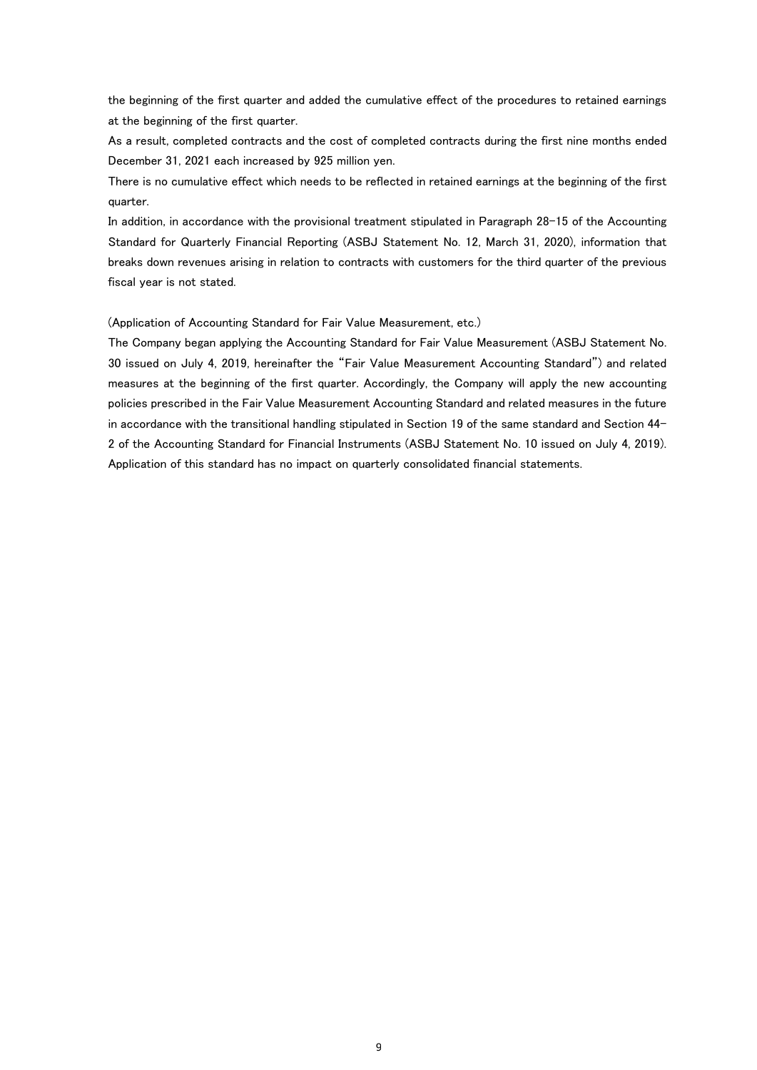the beginning of the first quarter and added the cumulative effect of the procedures to retained earnings at the beginning of the first quarter.

As a result, completed contracts and the cost of completed contracts during the first nine months ended December 31, 2021 each increased by 925 million yen.

There is no cumulative effect which needs to be reflected in retained earnings at the beginning of the first quarter.

In addition, in accordance with the provisional treatment stipulated in Paragraph 28-15 of the Accounting Standard for Quarterly Financial Reporting (ASBJ Statement No. 12, March 31, 2020), information that breaks down revenues arising in relation to contracts with customers for the third quarter of the previous fiscal year is not stated.

(Application of Accounting Standard for Fair Value Measurement, etc.)

The Company began applying the Accounting Standard for Fair Value Measurement (ASBJ Statement No. 30 issued on July 4, 2019, hereinafter the "Fair Value Measurement Accounting Standard") and related measures at the beginning of the first quarter. Accordingly, the Company will apply the new accounting policies prescribed in the Fair Value Measurement Accounting Standard and related measures in the future in accordance with the transitional handling stipulated in Section 19 of the same standard and Section 44- 2 of the Accounting Standard for Financial Instruments (ASBJ Statement No. 10 issued on July 4, 2019). Application of this standard has no impact on quarterly consolidated financial statements.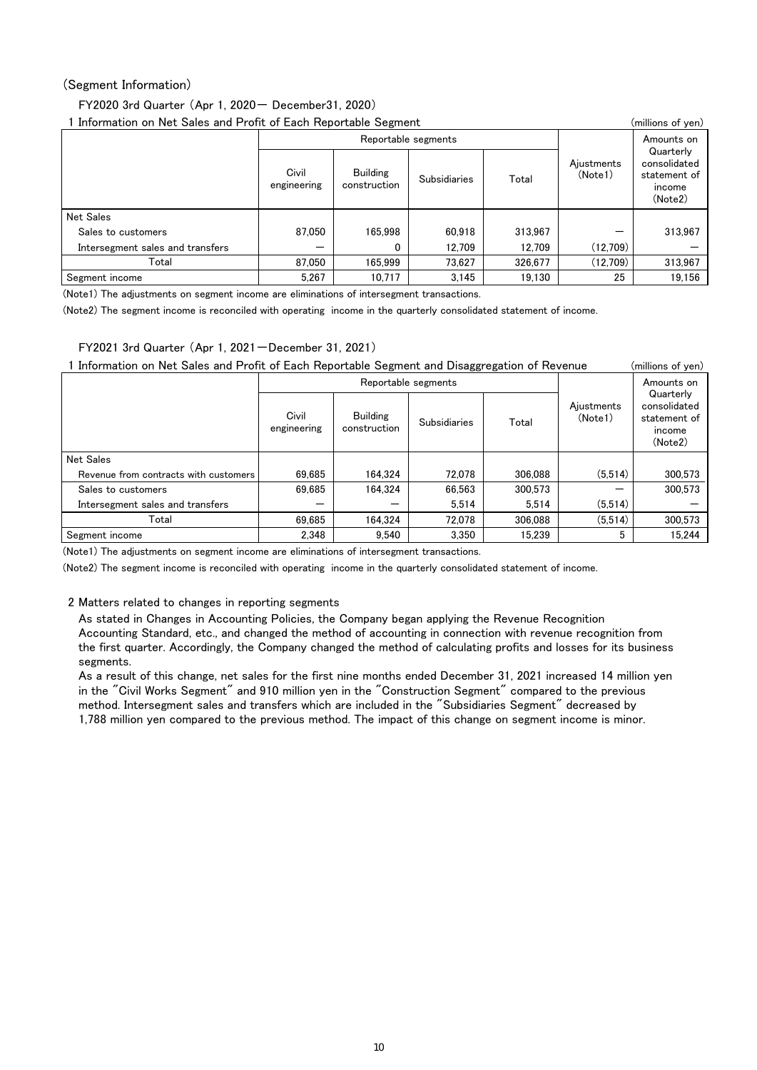### (Segment Information)

### FY2020 3rd Quarter (Apr 1, 2020- December31, 2020)

1 Information on Net Sales and Profit of Each Reportable Segment (millions of yen)

|                                  |                                                         | Reportable segments |                              | Amounts on |                       |                                                                |  |  |  |  |  |
|----------------------------------|---------------------------------------------------------|---------------------|------------------------------|------------|-----------------------|----------------------------------------------------------------|--|--|--|--|--|
|                                  | Civil<br><b>Building</b><br>construction<br>engineering |                     | Total<br><b>Subsidiaries</b> |            | Ajustments<br>(Note1) | Quarterly<br>consolidated<br>statement of<br>income<br>(Note2) |  |  |  |  |  |
| <b>Net Sales</b>                 |                                                         |                     |                              |            |                       |                                                                |  |  |  |  |  |
| Sales to customers               | 87.050                                                  | 165.998             | 60.918                       | 313.967    |                       | 313,967                                                        |  |  |  |  |  |
| Intersegment sales and transfers |                                                         | 0                   | 12.709                       | 12.709     | (12.709)              |                                                                |  |  |  |  |  |
| Total                            | 87.050                                                  | 165.999             | 73.627                       | 326.677    | (12.709)              | 313.967                                                        |  |  |  |  |  |
| Segment income                   | 5.267                                                   | 10.717              | 3.145                        | 19.130     | 25                    | 19,156                                                         |  |  |  |  |  |

(Note1) The adjustments on segment income are eliminations of intersegment transactions.

(Note2) The segment income is reconciled with operating income in the quarterly consolidated statement of income.

### FY2021 3rd Quarter (Apr 1, 2021-December 31, 2021)

1 Information on Net Sales and Profit of Each Reportable Segment and Disaggregation of Revenue (millions of yen)

|                                       |                      | Reportable segments             |                     | Amounts on |                       |                                                                |  |
|---------------------------------------|----------------------|---------------------------------|---------------------|------------|-----------------------|----------------------------------------------------------------|--|
|                                       | Civil<br>engineering | <b>Building</b><br>construction | <b>Subsidiaries</b> | Total      | Ajustments<br>(Note1) | Quarterly<br>consolidated<br>statement of<br>income<br>(Note2) |  |
| <b>Net Sales</b>                      |                      |                                 |                     |            |                       |                                                                |  |
| Revenue from contracts with customers | 69.685               | 164.324                         | 72.078              | 306.088    | (5.514)               | 300,573                                                        |  |
| Sales to customers                    | 69.685               | 164.324                         | 66.563              | 300.573    |                       | 300.573                                                        |  |
| Intersegment sales and transfers      |                      |                                 | 5.514               | 5.514      | (5,514)               |                                                                |  |
| Total                                 | 69.685               | 164.324                         | 72.078              | 306.088    | (5.514)               | 300.573                                                        |  |
| Segment income                        | 2.348                | 9.540                           | 3.350               | 15.239     | 5                     | 15.244                                                         |  |

(Note1) The adjustments on segment income are eliminations of intersegment transactions.

(Note2) The segment income is reconciled with operating income in the quarterly consolidated statement of income.

2 Matters related to changes in reporting segments

As stated in Changes in Accounting Policies, the Company began applying the Revenue Recognition Accounting Standard, etc., and changed the method of accounting in connection with revenue recognition from the first quarter. Accordingly, the Company changed the method of calculating profits and losses for its business segments.

As a result of this change, net sales for the first nine months ended December 31, 2021 increased 14 million yen in the "Civil Works Segment" and 910 million yen in the "Construction Segment" compared to the previous method. Intersegment sales and transfers which are included in the "Subsidiaries Segment" decreased by 1,788 million yen compared to the previous method. The impact of this change on segment income is minor.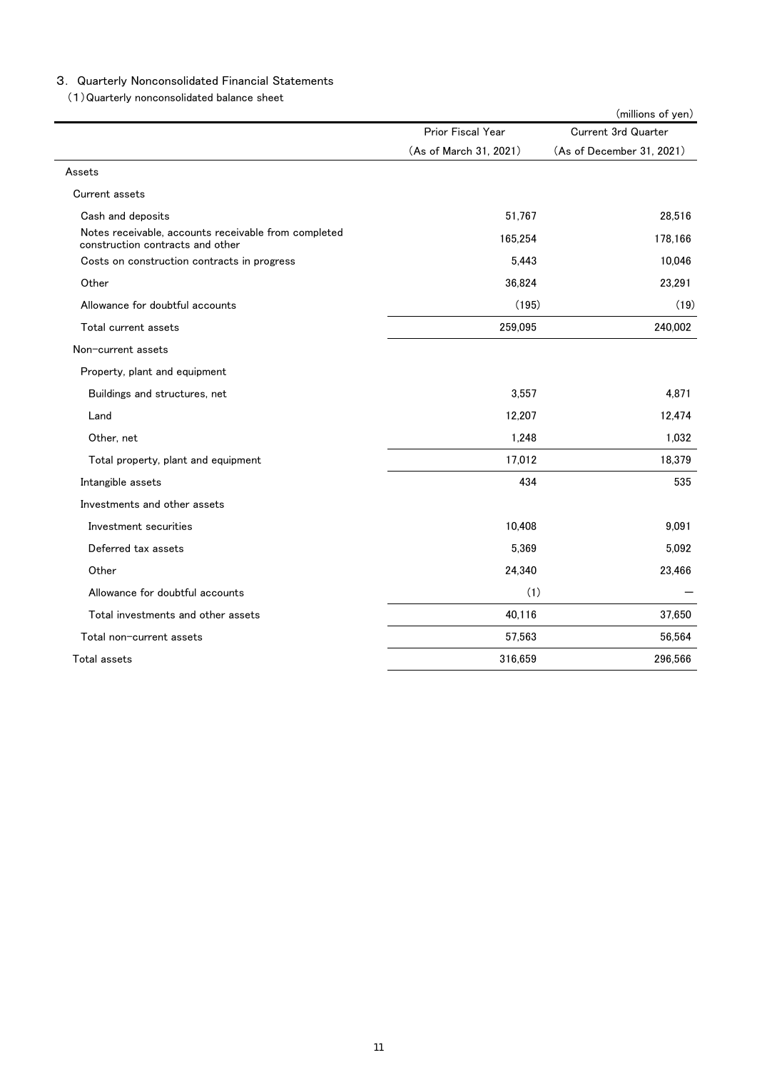### 3. Quarterly Nonconsolidated Financial Statements

(1)Quarterly nonconsolidated balance sheet

|                                                                                          |                        | (millions of yen)          |
|------------------------------------------------------------------------------------------|------------------------|----------------------------|
|                                                                                          | Prior Fiscal Year      | <b>Current 3rd Quarter</b> |
|                                                                                          | (As of March 31, 2021) | (As of December 31, 2021)  |
| Assets                                                                                   |                        |                            |
| Current assets                                                                           |                        |                            |
| Cash and deposits                                                                        | 51,767                 | 28.516                     |
| Notes receivable, accounts receivable from completed<br>construction contracts and other | 165.254                | 178,166                    |
| Costs on construction contracts in progress                                              | 5,443                  | 10,046                     |
| Other                                                                                    | 36,824                 | 23,291                     |
| Allowance for doubtful accounts                                                          | (195)                  | (19)                       |
| Total current assets                                                                     | 259,095                | 240,002                    |
| Non-current assets                                                                       |                        |                            |
| Property, plant and equipment                                                            |                        |                            |
| Buildings and structures, net                                                            | 3,557                  | 4,871                      |
| Land                                                                                     | 12,207                 | 12,474                     |
| Other, net                                                                               | 1,248                  | 1.032                      |
| Total property, plant and equipment                                                      | 17,012                 | 18,379                     |
| Intangible assets                                                                        | 434                    | 535                        |
| Investments and other assets                                                             |                        |                            |
| Investment securities                                                                    | 10,408                 | 9,091                      |
| Deferred tax assets                                                                      | 5,369                  | 5,092                      |
| Other                                                                                    | 24,340                 | 23,466                     |
| Allowance for doubtful accounts                                                          | (1)                    |                            |
| Total investments and other assets                                                       | 40,116                 | 37,650                     |
| Total non-current assets                                                                 | 57,563                 | 56,564                     |
| Total assets                                                                             | 316,659                | 296,566                    |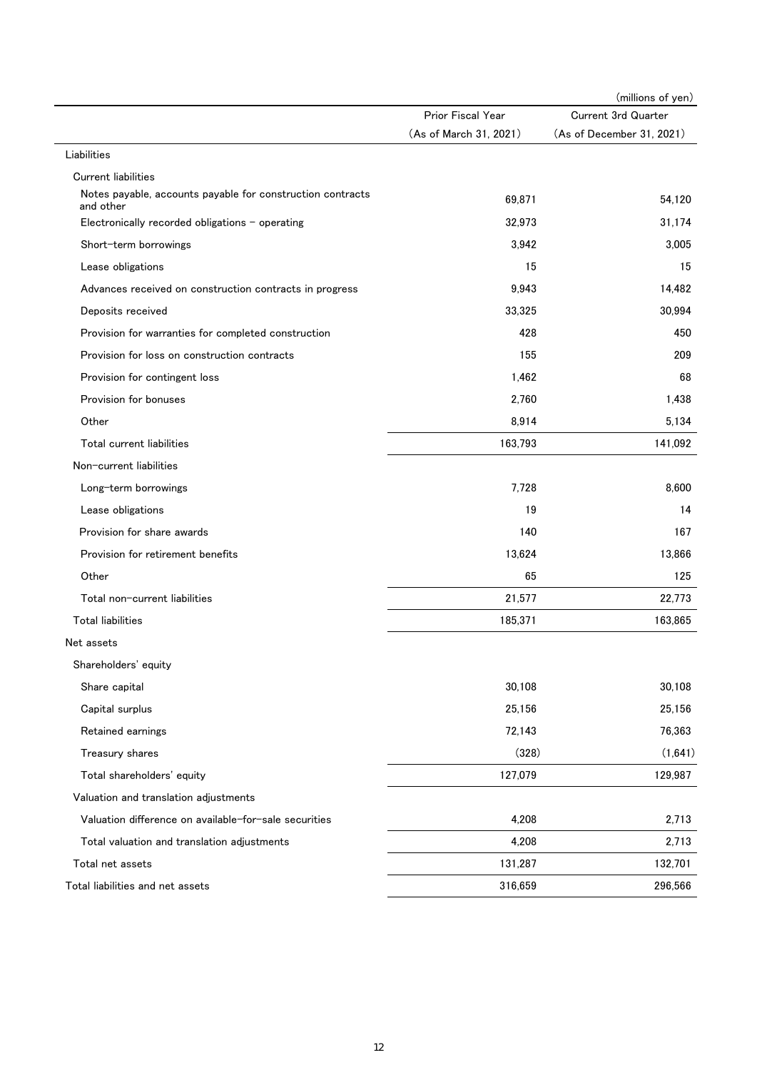|                                                                         |                        | (millions of yen)          |
|-------------------------------------------------------------------------|------------------------|----------------------------|
|                                                                         | Prior Fiscal Year      | <b>Current 3rd Quarter</b> |
|                                                                         | (As of March 31, 2021) | (As of December 31, 2021)  |
| Liabilities                                                             |                        |                            |
| <b>Current liabilities</b>                                              |                        |                            |
| Notes payable, accounts payable for construction contracts<br>and other | 69,871                 | 54,120                     |
| Electronically recorded obligations $-$ operating                       | 32,973                 | 31.174                     |
| Short-term borrowings                                                   | 3,942                  | 3,005                      |
| Lease obligations                                                       | 15                     | 15                         |
| Advances received on construction contracts in progress                 | 9,943                  | 14,482                     |
| Deposits received                                                       | 33,325                 | 30,994                     |
| Provision for warranties for completed construction                     | 428                    | 450                        |
| Provision for loss on construction contracts                            | 155                    | 209                        |
| Provision for contingent loss                                           | 1,462                  | 68                         |
| Provision for bonuses                                                   | 2,760                  | 1,438                      |
| Other                                                                   | 8,914                  | 5,134                      |
| Total current liabilities                                               | 163,793                | 141,092                    |
| Non-current liabilities                                                 |                        |                            |
| Long-term borrowings                                                    | 7,728                  | 8,600                      |
| Lease obligations                                                       | 19                     | 14                         |
| Provision for share awards                                              | 140                    | 167                        |
| Provision for retirement benefits                                       | 13,624                 | 13,866                     |
| Other                                                                   | 65                     | 125                        |
| Total non-current liabilities                                           | 21,577                 | 22,773                     |
| <b>Total liabilities</b>                                                | 185,371                | 163,865                    |
| Net assets                                                              |                        |                            |
| Shareholders' equity                                                    |                        |                            |
| Share capital                                                           | 30,108                 | 30,108                     |
| Capital surplus                                                         | 25,156                 | 25,156                     |
| Retained earnings                                                       | 72,143                 | 76,363                     |
| Treasury shares                                                         | (328)                  | (1,641)                    |
| Total shareholders' equity                                              | 127,079                | 129,987                    |
| Valuation and translation adjustments                                   |                        |                            |
| Valuation difference on available-for-sale securities                   | 4,208                  | 2,713                      |
| Total valuation and translation adjustments                             | 4,208                  | 2,713                      |
| Total net assets                                                        | 131,287                | 132,701                    |
| Total liabilities and net assets                                        | 316,659                | 296,566                    |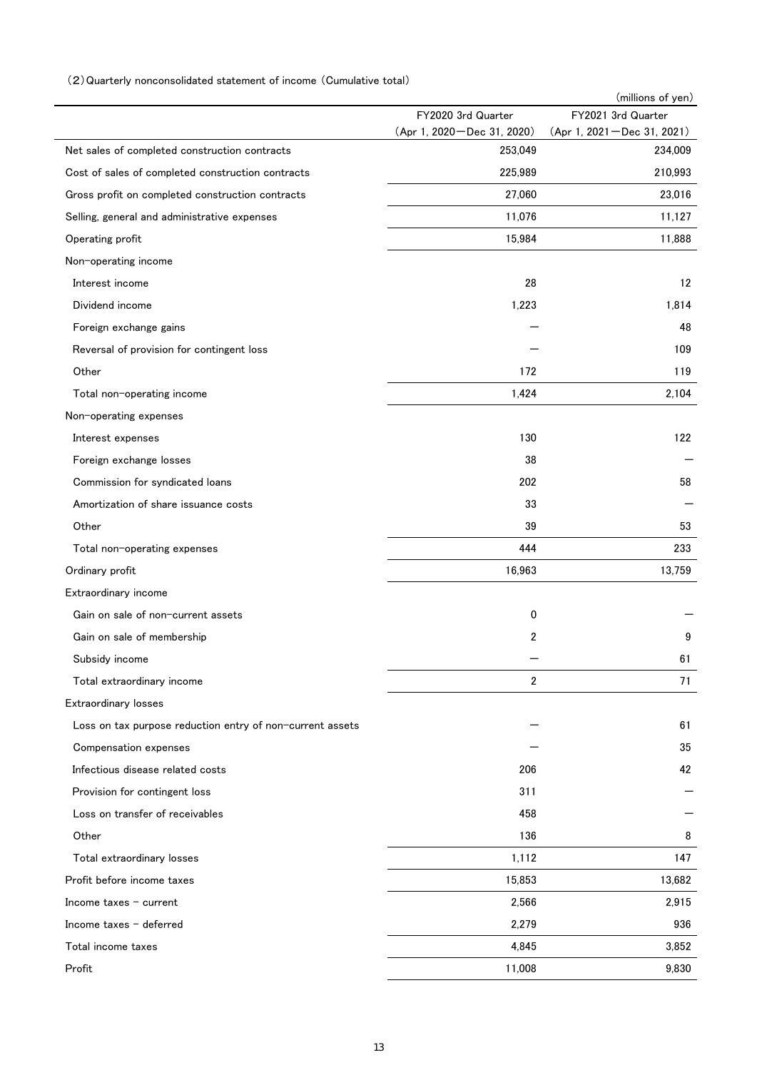### (2)Quarterly nonconsolidated statement of income (Cumulative total)

|                                                           |                              | (millions of yen)            |
|-----------------------------------------------------------|------------------------------|------------------------------|
|                                                           | FY2020 3rd Quarter           | FY2021 3rd Quarter           |
|                                                           | (Apr 1, 2020 - Dec 31, 2020) | (Apr 1, 2021 – Dec 31, 2021) |
| Net sales of completed construction contracts             | 253,049                      | 234,009                      |
| Cost of sales of completed construction contracts         | 225,989                      | 210,993                      |
| Gross profit on completed construction contracts          | 27,060                       | 23,016                       |
| Selling, general and administrative expenses              | 11,076                       | 11,127                       |
| Operating profit                                          | 15,984                       | 11,888                       |
| Non-operating income                                      |                              |                              |
| Interest income                                           | 28                           | 12                           |
| Dividend income                                           | 1,223                        | 1,814                        |
| Foreign exchange gains                                    |                              | 48                           |
| Reversal of provision for contingent loss                 |                              | 109                          |
| Other                                                     | 172                          | 119                          |
| Total non-operating income                                | 1,424                        | 2,104                        |
| Non-operating expenses                                    |                              |                              |
| Interest expenses                                         | 130                          | 122                          |
| Foreign exchange losses                                   | 38                           |                              |
| Commission for syndicated loans                           | 202                          | 58                           |
| Amortization of share issuance costs                      | 33                           |                              |
| Other                                                     | 39                           | 53                           |
| Total non-operating expenses                              | 444                          | 233                          |
| Ordinary profit                                           | 16,963                       | 13,759                       |
| Extraordinary income                                      |                              |                              |
| Gain on sale of non-current assets                        | 0                            |                              |
| Gain on sale of membership                                | 2                            | 9                            |
| Subsidy income                                            |                              | 61                           |
| Total extraordinary income                                | 2                            | 71                           |
| Extraordinary losses                                      |                              |                              |
| Loss on tax purpose reduction entry of non-current assets |                              | 61                           |
| Compensation expenses                                     |                              | 35                           |
| Infectious disease related costs                          | 206                          | 42                           |
| Provision for contingent loss                             | 311                          |                              |
|                                                           |                              |                              |
| Loss on transfer of receivables                           | 458                          |                              |
| Other                                                     | 136                          | 8                            |
| Total extraordinary losses                                | 1,112                        | 147                          |
| Profit before income taxes                                | 15,853                       | 13,682                       |
| Income taxes $-$ current                                  | 2,566                        | 2,915                        |
| Income taxes - deferred                                   | 2,279                        | 936                          |
| Total income taxes                                        | 4,845                        | 3,852                        |
| Profit                                                    | 11,008                       | 9,830                        |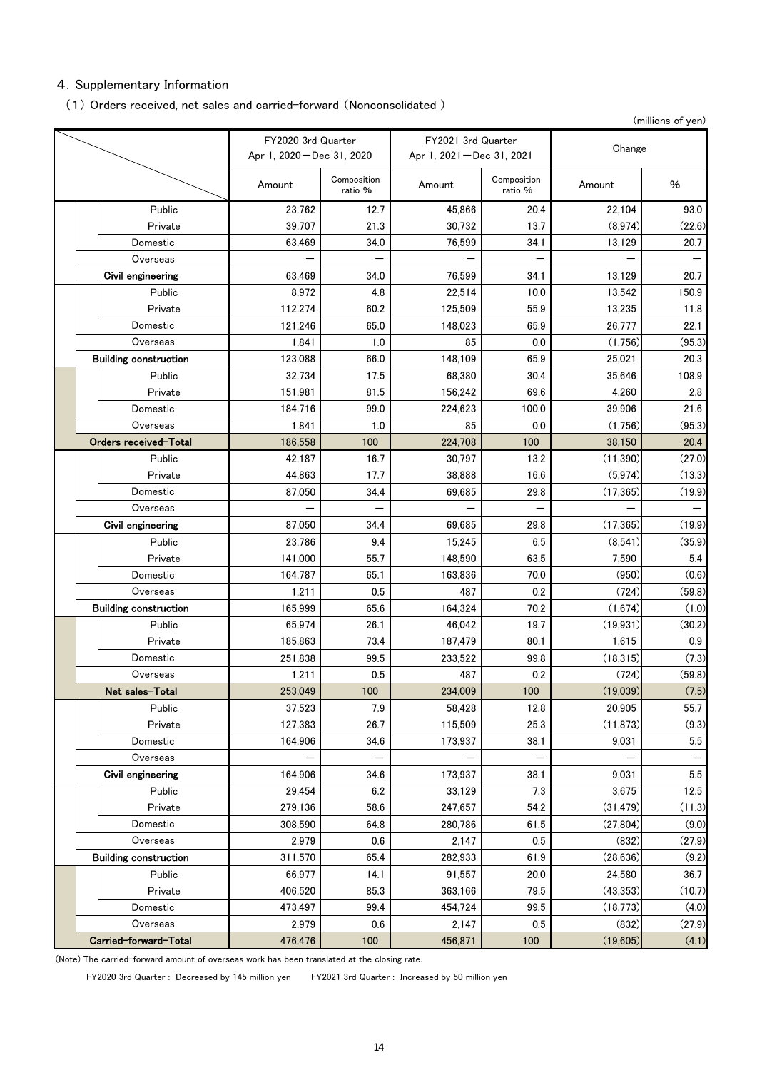# 4.Supplementary Information

### (1) Orders received, net sales and carried-forward (Nonconsolidated )

(millions of yen)

|          |                                       | FY2020 3rd Quarter<br>Apr 1, 2020 - Dec 31, 2020 |                        | FY2021 3rd Quarter<br>Apr 1, 2021 - Dec 31, 2021 |                        | Change                 |                            |  |
|----------|---------------------------------------|--------------------------------------------------|------------------------|--------------------------------------------------|------------------------|------------------------|----------------------------|--|
|          |                                       | Amount                                           | Composition<br>ratio % | Amount                                           | Composition<br>ratio % | Amount                 | %                          |  |
|          | Public<br>23,762<br>39,707<br>Private |                                                  | 12.7                   | 45,866                                           | 20.4                   | 22,104                 | 93.0                       |  |
|          |                                       |                                                  | 21.3                   | 30,732                                           | 13.7                   | (8,974)                | (22.6)                     |  |
|          | Domestic                              | 63,469                                           | 34.0                   | 76,599                                           | 34.1                   | 13,129                 | 20.7                       |  |
| Overseas |                                       |                                                  |                        |                                                  |                        |                        |                            |  |
|          | Civil engineering                     | 63,469                                           | 34.0                   | 76,599                                           | 34.1                   | 13,129                 | 20.7                       |  |
|          | Public                                | 8,972                                            | 4.8                    | 22,514                                           | 10.0                   | 13,542                 | 150.9                      |  |
|          | Private                               | 112,274                                          | 60.2                   | 125,509                                          | 55.9                   | 13,235                 | 11.8                       |  |
|          | Domestic                              | 121,246                                          | 65.0                   | 148,023                                          | 65.9                   | 26,777                 | 22.1                       |  |
|          | Overseas                              | 1,841                                            | 1.0                    | 85                                               | 0.0                    | (1,756)                | (95.3)                     |  |
|          | <b>Building construction</b>          | 123,088                                          | 66.0                   | 148,109                                          | 65.9                   | 25,021                 | 20.3                       |  |
|          | Public                                | 32,734                                           | 17.5                   | 68,380                                           | 30.4                   | 35,646                 | 108.9                      |  |
|          | Private                               | 151,981                                          | 81.5                   | 156,242                                          | 69.6                   | 4,260                  | 2.8                        |  |
|          | Domestic                              | 184,716                                          | 99.0                   | 224,623                                          | 100.0                  | 39,906                 | 21.6                       |  |
|          | Overseas                              | 1,841                                            | 1.0                    | 85                                               | 0.0                    | (1,756)                | (95.3)                     |  |
|          | Orders received-Total                 | 186,558                                          | 100                    | 224,708                                          | 100                    | 38,150                 | 20.4                       |  |
|          | Public                                | 42,187                                           | 16.7                   | 30,797                                           | 13.2                   | (11, 390)              | (27.0)                     |  |
|          | Private                               | 44,863                                           | 17.7                   | 38,888                                           | 16.6                   | (5, 974)               | (13.3)<br>(19.9)<br>(19.9) |  |
|          | Domestic                              | 87,050                                           | 34.4                   | 69,685                                           | 29.8<br>29.8           | (17, 365)<br>(17, 365) |                            |  |
|          | Overseas                              |                                                  |                        |                                                  |                        |                        |                            |  |
|          | Civil engineering                     | 87,050                                           | 34.4                   | 69,685                                           |                        |                        |                            |  |
|          | Public                                | 23,786                                           | 9.4                    | 15,245                                           | 6.5                    | (8,541)                | (35.9)                     |  |
|          | Private                               | 141,000                                          | 55.7                   | 148,590                                          | 63.5                   | 7,590                  | 5.4                        |  |
|          | Domestic                              | 164,787                                          | 65.1                   | 163,836                                          | 70.0                   | (950)                  | (0.6)                      |  |
|          | Overseas                              | 1,211                                            | 0.5                    | 487                                              | 0.2                    | (724)                  | (59.8)                     |  |
|          | <b>Building construction</b>          | 165,999                                          | 65.6                   | 164,324                                          | 70.2                   | (1,674)                | (1.0)                      |  |
|          | Public                                | 65,974                                           | 26.1                   | 46,042                                           | 19.7                   | (19, 931)              | (30.2)                     |  |
|          | Private                               | 185,863                                          | 73.4                   | 187,479                                          | 80.1                   | 1,615                  | 0.9                        |  |
|          | Domestic                              | 251,838                                          | 99.5                   | 233,522                                          | 99.8                   | (18, 315)              | (7.3)                      |  |
|          | Overseas                              | 1,211                                            | 0.5                    | 487                                              | 0.2                    | (724)                  | (59.8)                     |  |
|          | Net sales-Total                       | 253,049                                          | 100                    | 234.009                                          | 100                    | (19,039)               | (7.5)                      |  |
|          | Public                                | 37,523                                           | 7.9                    | 58,428                                           | 12.8                   | 20,905                 | 55.7                       |  |
|          | Private                               | 127,383                                          | 26.7                   | 115,509                                          | 25.3                   | (11, 873)              | (9.3)                      |  |
|          | Domestic                              | 164,906                                          | 34.6                   | 173,937                                          | 38.1                   | 9,031                  | 5.5                        |  |
|          | Overseas                              |                                                  |                        |                                                  |                        |                        |                            |  |
|          | Civil engineering                     | 164,906                                          | 34.6                   | 173,937                                          | 38.1                   | 9,031                  | 5.5                        |  |
|          | Public                                | 29,454                                           | 6.2                    | 33,129                                           | 7.3                    | 3,675                  | 12.5                       |  |
|          | Private                               | 279,136                                          | 58.6                   | 247,657                                          | 54.2                   | (31, 479)              | (11.3)                     |  |
|          | Domestic                              | 308,590                                          | 64.8                   | 280,786                                          | 61.5                   | (27, 804)              | (9.0)                      |  |
|          | Overseas                              | 2,979                                            | 0.6                    | 2,147                                            | 0.5                    | (832)                  | (27.9)                     |  |
|          | <b>Building construction</b>          | 311,570                                          | 65.4                   | 282,933                                          | 61.9                   | (28, 636)              | (9.2)                      |  |
|          | Public                                | 66,977                                           | 14.1                   | 91,557                                           | 20.0                   | 24,580                 | 36.7                       |  |
|          | Private                               | 406,520                                          | 85.3                   | 363,166                                          | 79.5                   | (43, 353)              | (10.7)                     |  |
|          | Domestic                              | 473,497                                          | 99.4                   | 454,724                                          | 99.5                   | (18, 773)              | (4.0)                      |  |
|          | Overseas<br>Carried-forward-Total     | 2,979                                            | 0.6                    | 2,147                                            | 0.5                    | (832)                  | (27.9)                     |  |
|          |                                       | 476,476                                          | 100                    | 456,871                                          | 100                    | (19,605)               | (4.1)                      |  |

(Note) The carried-forward amount of overseas work has been translated at the closing rate.

FY2020 3rd Quarter : Decreased by 145 million yen FY2021 3rd Quarter : Increased by 50 million yen